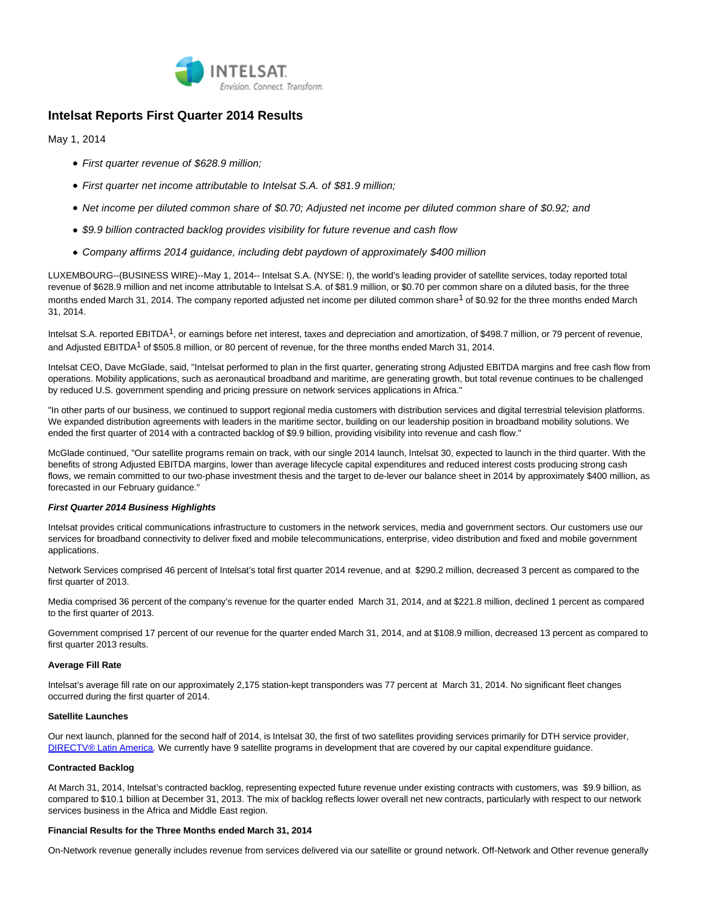

## **Intelsat Reports First Quarter 2014 Results**

May 1, 2014

- First quarter revenue of \$628.9 million;
- First quarter net income attributable to Intelsat S.A. of \$81.9 million;
- Net income per diluted common share of \$0.70; Adjusted net income per diluted common share of \$0.92; and
- \$9.9 billion contracted backlog provides visibility for future revenue and cash flow
- Company affirms 2014 guidance, including debt paydown of approximately \$400 million

LUXEMBOURG--(BUSINESS WIRE)--May 1, 2014-- Intelsat S.A. (NYSE: I), the world's leading provider of satellite services, today reported total revenue of \$628.9 million and net income attributable to Intelsat S.A. of \$81.9 million, or \$0.70 per common share on a diluted basis, for the three months ended March 31, 2014. The company reported adjusted net income per diluted common share<sup>1</sup> of \$0.92 for the three months ended March 31, 2014.

Intelsat S.A. reported EBITDA<sup>1</sup>, or earnings before net interest, taxes and depreciation and amortization, of \$498.7 million, or 79 percent of revenue, and Adjusted EBITDA<sup>1</sup> of \$505.8 million, or 80 percent of revenue, for the three months ended March 31, 2014.

Intelsat CEO, Dave McGlade, said, "Intelsat performed to plan in the first quarter, generating strong Adjusted EBITDA margins and free cash flow from operations. Mobility applications, such as aeronautical broadband and maritime, are generating growth, but total revenue continues to be challenged by reduced U.S. government spending and pricing pressure on network services applications in Africa."

"In other parts of our business, we continued to support regional media customers with distribution services and digital terrestrial television platforms. We expanded distribution agreements with leaders in the maritime sector, building on our leadership position in broadband mobility solutions. We ended the first quarter of 2014 with a contracted backlog of \$9.9 billion, providing visibility into revenue and cash flow."

McGlade continued, "Our satellite programs remain on track, with our single 2014 launch, Intelsat 30, expected to launch in the third quarter. With the benefits of strong Adjusted EBITDA margins, lower than average lifecycle capital expenditures and reduced interest costs producing strong cash flows, we remain committed to our two-phase investment thesis and the target to de-lever our balance sheet in 2014 by approximately \$400 million, as forecasted in our February guidance."

### **First Quarter 2014 Business Highlights**

Intelsat provides critical communications infrastructure to customers in the network services, media and government sectors. Our customers use our services for broadband connectivity to deliver fixed and mobile telecommunications, enterprise, video distribution and fixed and mobile government applications.

Network Services comprised 46 percent of Intelsat's total first quarter 2014 revenue, and at \$290.2 million, decreased 3 percent as compared to the first quarter of 2013.

Media comprised 36 percent of the company's revenue for the quarter ended March 31, 2014, and at \$221.8 million, declined 1 percent as compared to the first quarter of 2013.

Government comprised 17 percent of our revenue for the quarter ended March 31, 2014, and at \$108.9 million, decreased 13 percent as compared to first quarter 2013 results.

### **Average Fill Rate**

Intelsat's average fill rate on our approximately 2,175 station-kept transponders was 77 percent at March 31, 2014. No significant fleet changes occurred during the first quarter of 2014.

### **Satellite Launches**

Our next launch, planned for the second half of 2014, is Intelsat 30, the first of two satellites providing services primarily for DTH service provider, [DIRECTV® Latin America.](http://cts.businesswire.com/ct/CT?id=smartlink&url=http%3A%2F%2Fwww.directvla.com%2F&esheet=50855590&newsitemid=20140501005746&lan=en-US&anchor=DIRECTV%C2%AE+Latin+America&index=1&md5=2d8e90c64273366e1c53820835e04c7a) We currently have 9 satellite programs in development that are covered by our capital expenditure guidance.

### **Contracted Backlog**

At March 31, 2014, Intelsat's contracted backlog, representing expected future revenue under existing contracts with customers, was \$9.9 billion, as compared to \$10.1 billion at December 31, 2013. The mix of backlog reflects lower overall net new contracts, particularly with respect to our network services business in the Africa and Middle East region.

### **Financial Results for the Three Months ended March 31, 2014**

On-Network revenue generally includes revenue from services delivered via our satellite or ground network. Off-Network and Other revenue generally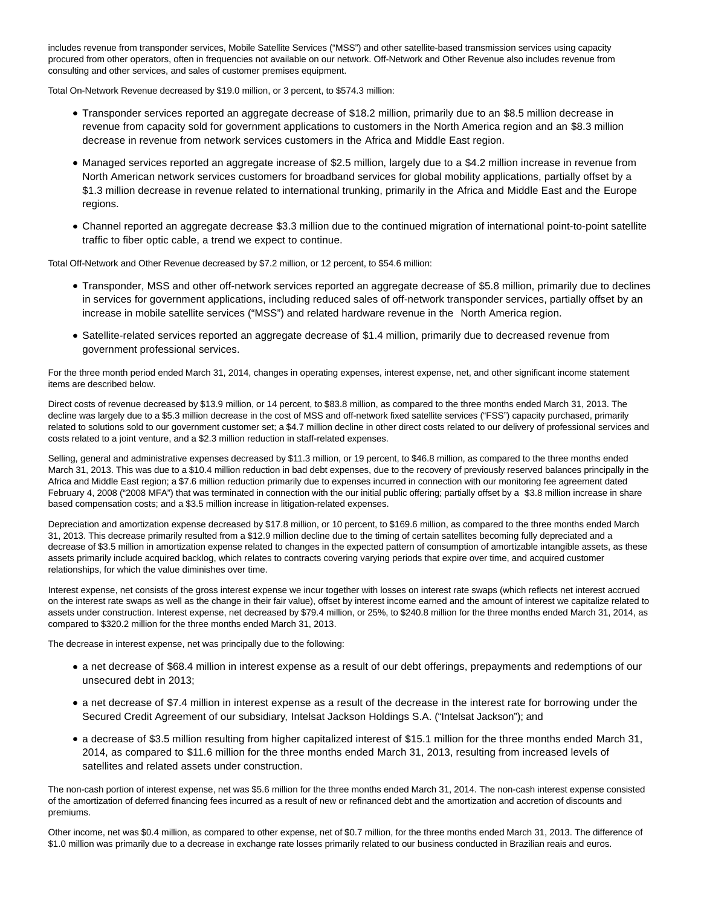includes revenue from transponder services, Mobile Satellite Services ("MSS") and other satellite-based transmission services using capacity procured from other operators, often in frequencies not available on our network. Off-Network and Other Revenue also includes revenue from consulting and other services, and sales of customer premises equipment.

Total On-Network Revenue decreased by \$19.0 million, or 3 percent, to \$574.3 million:

- Transponder services reported an aggregate decrease of \$18.2 million, primarily due to an \$8.5 million decrease in revenue from capacity sold for government applications to customers in the North America region and an \$8.3 million decrease in revenue from network services customers in the Africa and Middle East region.
- Managed services reported an aggregate increase of \$2.5 million, largely due to a \$4.2 million increase in revenue from North American network services customers for broadband services for global mobility applications, partially offset by a \$1.3 million decrease in revenue related to international trunking, primarily in the Africa and Middle East and the Europe regions.
- Channel reported an aggregate decrease \$3.3 million due to the continued migration of international point-to-point satellite traffic to fiber optic cable, a trend we expect to continue.

Total Off-Network and Other Revenue decreased by \$7.2 million, or 12 percent, to \$54.6 million:

- Transponder, MSS and other off-network services reported an aggregate decrease of \$5.8 million, primarily due to declines in services for government applications, including reduced sales of off-network transponder services, partially offset by an increase in mobile satellite services ("MSS") and related hardware revenue in the North America region.
- Satellite-related services reported an aggregate decrease of \$1.4 million, primarily due to decreased revenue from government professional services.

For the three month period ended March 31, 2014, changes in operating expenses, interest expense, net, and other significant income statement items are described below.

Direct costs of revenue decreased by \$13.9 million, or 14 percent, to \$83.8 million, as compared to the three months ended March 31, 2013. The decline was largely due to a \$5.3 million decrease in the cost of MSS and off-network fixed satellite services ("FSS") capacity purchased, primarily related to solutions sold to our government customer set; a \$4.7 million decline in other direct costs related to our delivery of professional services and costs related to a joint venture, and a \$2.3 million reduction in staff-related expenses.

Selling, general and administrative expenses decreased by \$11.3 million, or 19 percent, to \$46.8 million, as compared to the three months ended March 31, 2013. This was due to a \$10.4 million reduction in bad debt expenses, due to the recovery of previously reserved balances principally in the Africa and Middle East region; a \$7.6 million reduction primarily due to expenses incurred in connection with our monitoring fee agreement dated February 4, 2008 ("2008 MFA") that was terminated in connection with the our initial public offering; partially offset by a \$3.8 million increase in share based compensation costs; and a \$3.5 million increase in litigation-related expenses.

Depreciation and amortization expense decreased by \$17.8 million, or 10 percent, to \$169.6 million, as compared to the three months ended March 31, 2013. This decrease primarily resulted from a \$12.9 million decline due to the timing of certain satellites becoming fully depreciated and a decrease of \$3.5 million in amortization expense related to changes in the expected pattern of consumption of amortizable intangible assets, as these assets primarily include acquired backlog, which relates to contracts covering varying periods that expire over time, and acquired customer relationships, for which the value diminishes over time.

Interest expense, net consists of the gross interest expense we incur together with losses on interest rate swaps (which reflects net interest accrued on the interest rate swaps as well as the change in their fair value), offset by interest income earned and the amount of interest we capitalize related to assets under construction. Interest expense, net decreased by \$79.4 million, or 25%, to \$240.8 million for the three months ended March 31, 2014, as compared to \$320.2 million for the three months ended March 31, 2013.

The decrease in interest expense, net was principally due to the following:

- a net decrease of \$68.4 million in interest expense as a result of our debt offerings, prepayments and redemptions of our unsecured debt in 2013;
- a net decrease of \$7.4 million in interest expense as a result of the decrease in the interest rate for borrowing under the Secured Credit Agreement of our subsidiary, Intelsat Jackson Holdings S.A. ("Intelsat Jackson"); and
- a decrease of \$3.5 million resulting from higher capitalized interest of \$15.1 million for the three months ended March 31, 2014, as compared to \$11.6 million for the three months ended March 31, 2013, resulting from increased levels of satellites and related assets under construction.

The non-cash portion of interest expense, net was \$5.6 million for the three months ended March 31, 2014. The non-cash interest expense consisted of the amortization of deferred financing fees incurred as a result of new or refinanced debt and the amortization and accretion of discounts and premiums.

Other income, net was \$0.4 million, as compared to other expense, net of \$0.7 million, for the three months ended March 31, 2013. The difference of \$1.0 million was primarily due to a decrease in exchange rate losses primarily related to our business conducted in Brazilian reais and euros.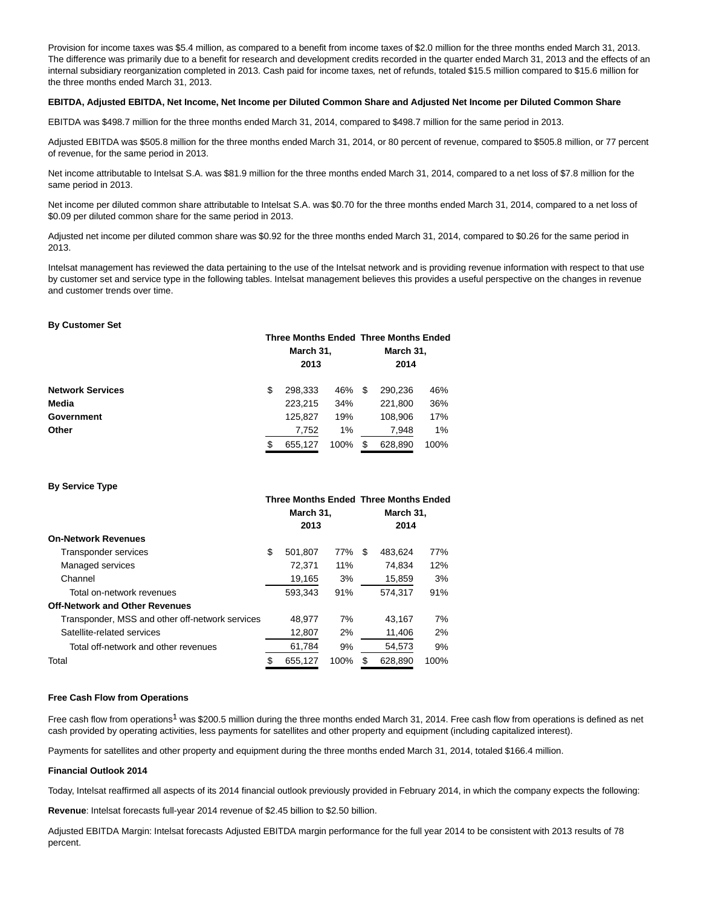Provision for income taxes was \$5.4 million, as compared to a benefit from income taxes of \$2.0 million for the three months ended March 31, 2013. The difference was primarily due to a benefit for research and development credits recorded in the quarter ended March 31, 2013 and the effects of an internal subsidiary reorganization completed in 2013. Cash paid for income taxes, net of refunds, totaled \$15.5 million compared to \$15.6 million for the three months ended March 31, 2013.

### **EBITDA, Adjusted EBITDA, Net Income, Net Income per Diluted Common Share and Adjusted Net Income per Diluted Common Share**

EBITDA was \$498.7 million for the three months ended March 31, 2014, compared to \$498.7 million for the same period in 2013.

Adjusted EBITDA was \$505.8 million for the three months ended March 31, 2014, or 80 percent of revenue, compared to \$505.8 million, or 77 percent of revenue, for the same period in 2013.

Net income attributable to Intelsat S.A. was \$81.9 million for the three months ended March 31, 2014, compared to a net loss of \$7.8 million for the same period in 2013.

Net income per diluted common share attributable to Intelsat S.A. was \$0.70 for the three months ended March 31, 2014, compared to a net loss of \$0.09 per diluted common share for the same period in 2013.

Adjusted net income per diluted common share was \$0.92 for the three months ended March 31, 2014, compared to \$0.26 for the same period in 2013.

Intelsat management has reviewed the data pertaining to the use of the Intelsat network and is providing revenue information with respect to that use by customer set and service type in the following tables. Intelsat management believes this provides a useful perspective on the changes in revenue and customer trends over time.

#### **By Customer Set**

|                         |    | March 31, |      | <b>Three Months Ended Three Months Ended</b><br>March 31, |         |      |  |  |  |
|-------------------------|----|-----------|------|-----------------------------------------------------------|---------|------|--|--|--|
|                         |    | 2013      |      |                                                           |         | 2014 |  |  |  |
| <b>Network Services</b> | S  | 298.333   | 46%  | \$                                                        | 290,236 | 46%  |  |  |  |
| Media                   |    | 223.215   | 34%  |                                                           | 221.800 | 36%  |  |  |  |
| Government              |    | 125,827   | 19%  |                                                           | 108,906 | 17%  |  |  |  |
| Other                   |    | 7.752     | 1%   |                                                           | 7.948   | 1%   |  |  |  |
|                         | \$ | 655.127   | 100% | S                                                         | 628,890 | 100% |  |  |  |

#### **By Service Type**

|                                                 |    | March 31,<br>2013 |      |     | <b>Three Months Ended Three Months Ended</b><br>March 31,<br>2014 |      |  |  |
|-------------------------------------------------|----|-------------------|------|-----|-------------------------------------------------------------------|------|--|--|
| <b>On-Network Revenues</b>                      |    |                   |      |     |                                                                   |      |  |  |
| Transponder services                            | \$ | 501,807           | 77%  | \$. | 483,624                                                           | 77%  |  |  |
| Managed services                                |    | 72,371            | 11%  |     | 74,834                                                            | 12%  |  |  |
| Channel                                         |    | 19,165            | 3%   |     | 15,859                                                            | 3%   |  |  |
| Total on-network revenues                       |    | 593,343           | 91%  |     | 574.317                                                           | 91%  |  |  |
| <b>Off-Network and Other Revenues</b>           |    |                   |      |     |                                                                   |      |  |  |
| Transponder, MSS and other off-network services |    | 48.977            | 7%   |     | 43.167                                                            | 7%   |  |  |
| Satellite-related services                      |    | 12,807            | 2%   |     | 11,406                                                            | 2%   |  |  |
| Total off-network and other revenues            |    | 61,784            | 9%   |     | 54,573                                                            | 9%   |  |  |
| Total                                           |    | 655.127           | 100% |     | 628.890                                                           | 100% |  |  |

#### **Free Cash Flow from Operations**

Free cash flow from operations<sup>1</sup> was \$200.5 million during the three months ended March 31, 2014. Free cash flow from operations is defined as net cash provided by operating activities, less payments for satellites and other property and equipment (including capitalized interest).

Payments for satellites and other property and equipment during the three months ended March 31, 2014, totaled \$166.4 million.

#### **Financial Outlook 2014**

Today, Intelsat reaffirmed all aspects of its 2014 financial outlook previously provided in February 2014, in which the company expects the following:

**Revenue**: Intelsat forecasts full-year 2014 revenue of \$2.45 billion to \$2.50 billion.

Adjusted EBITDA Margin: Intelsat forecasts Adjusted EBITDA margin performance for the full year 2014 to be consistent with 2013 results of 78 percent.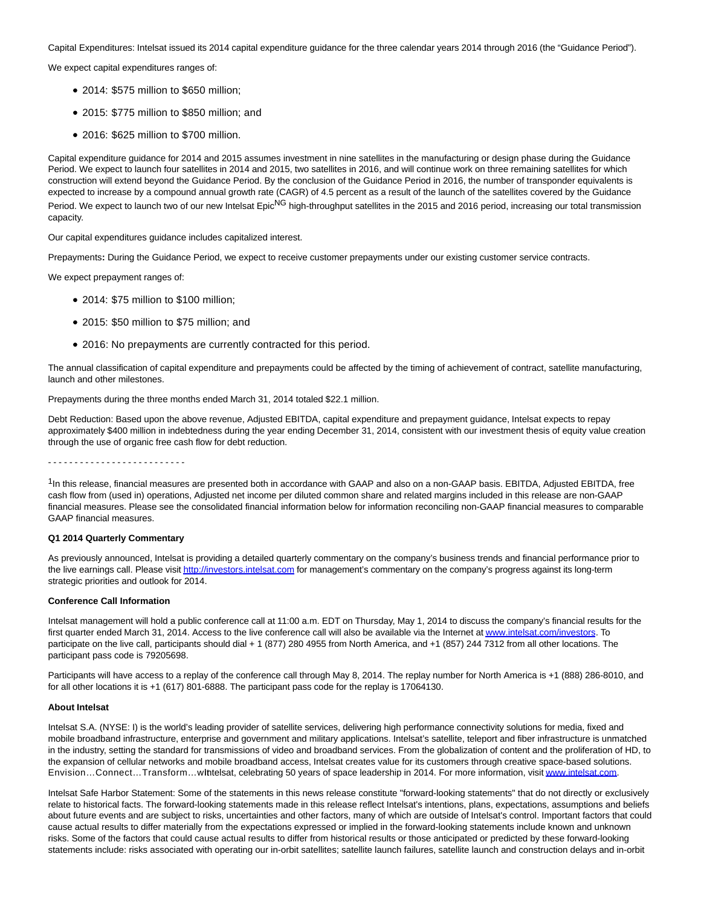Capital Expenditures: Intelsat issued its 2014 capital expenditure guidance for the three calendar years 2014 through 2016 (the "Guidance Period").

We expect capital expenditures ranges of:

- 2014: \$575 million to \$650 million;
- 2015: \$775 million to \$850 million; and
- 2016: \$625 million to \$700 million.

Capital expenditure guidance for 2014 and 2015 assumes investment in nine satellites in the manufacturing or design phase during the Guidance Period. We expect to launch four satellites in 2014 and 2015, two satellites in 2016, and will continue work on three remaining satellites for which construction will extend beyond the Guidance Period. By the conclusion of the Guidance Period in 2016, the number of transponder equivalents is expected to increase by a compound annual growth rate (CAGR) of 4.5 percent as a result of the launch of the satellites covered by the Guidance Period. We expect to launch two of our new Intelsat Epic<sup>NG</sup> high-throughput satellites in the 2015 and 2016 period, increasing our total transmission capacity.

Our capital expenditures guidance includes capitalized interest.

Prepayments**:** During the Guidance Period, we expect to receive customer prepayments under our existing customer service contracts.

We expect prepayment ranges of:

- 2014: \$75 million to \$100 million;
- 2015: \$50 million to \$75 million; and
- 2016: No prepayments are currently contracted for this period.

The annual classification of capital expenditure and prepayments could be affected by the timing of achievement of contract, satellite manufacturing, launch and other milestones.

Prepayments during the three months ended March 31, 2014 totaled \$22.1 million.

Debt Reduction: Based upon the above revenue, Adjusted EBITDA, capital expenditure and prepayment guidance, Intelsat expects to repay approximately \$400 million in indebtedness during the year ending December 31, 2014, consistent with our investment thesis of equity value creation through the use of organic free cash flow for debt reduction.

- - - - - - - - - - - - - - - - - - - - - - - - - -

<sup>1</sup>In this release, financial measures are presented both in accordance with GAAP and also on a non-GAAP basis. EBITDA, Adjusted EBITDA, free cash flow from (used in) operations, Adjusted net income per diluted common share and related margins included in this release are non-GAAP financial measures. Please see the consolidated financial information below for information reconciling non-GAAP financial measures to comparable GAAP financial measures.

### **Q1 2014 Quarterly Commentary**

As previously announced, Intelsat is providing a detailed quarterly commentary on the company's business trends and financial performance prior to the live earnings call. Please visi[t http://investors.intelsat.com f](http://cts.businesswire.com/ct/CT?id=smartlink&url=http%3A%2F%2Finvestors.intelsat.com&esheet=50855590&newsitemid=20140501005746&lan=en-US&anchor=http%3A%2F%2Finvestors.intelsat.com&index=2&md5=5aff532c409ba028d85f6f234cdaba8f)or management's commentary on the company's progress against its long-term strategic priorities and outlook for 2014.

### **Conference Call Information**

Intelsat management will hold a public conference call at 11:00 a.m. EDT on Thursday, May 1, 2014 to discuss the company's financial results for the first quarter ended March 31, 2014. Access to the live conference call will also be available via the Internet a[t www.intelsat.com/investors.](http://cts.businesswire.com/ct/CT?id=smartlink&url=http%3A%2F%2Fwww.intelsat.com%2Finvestors&esheet=50855590&newsitemid=20140501005746&lan=en-US&anchor=www.intelsat.com%2Finvestors&index=3&md5=39146c4b05dccbf5eb88adfd9bd23a48) To participate on the live call, participants should dial + 1 (877) 280 4955 from North America, and +1 (857) 244 7312 from all other locations. The participant pass code is 79205698.

Participants will have access to a replay of the conference call through May 8, 2014. The replay number for North America is +1 (888) 286-8010, and for all other locations it is +1 (617) 801-6888. The participant pass code for the replay is 17064130.

#### **About Intelsat**

Intelsat S.A. (NYSE: I) is the world's leading provider of satellite services, delivering high performance connectivity solutions for media, fixed and mobile broadband infrastructure, enterprise and government and military applications. Intelsat's satellite, teleport and fiber infrastructure is unmatched in the industry, setting the standard for transmissions of video and broadband services. From the globalization of content and the proliferation of HD, to the expansion of cellular networks and mobile broadband access, Intelsat creates value for its customers through creative space-based solutions. Envision...Connect...Transform...wihtelsat, celebrating 50 years of space leadership in 2014. For more information, visi[t www.intelsat.com.](http://cts.businesswire.com/ct/CT?id=smartlink&url=http%3A%2F%2Fwww.intelsat.com&esheet=50855590&newsitemid=20140501005746&lan=en-US&anchor=www.intelsat.com&index=4&md5=4b9a5308ba96f275e62b955c996d6ba6)

Intelsat Safe Harbor Statement: Some of the statements in this news release constitute "forward-looking statements" that do not directly or exclusively relate to historical facts. The forward-looking statements made in this release reflect Intelsat's intentions, plans, expectations, assumptions and beliefs about future events and are subject to risks, uncertainties and other factors, many of which are outside of Intelsat's control. Important factors that could cause actual results to differ materially from the expectations expressed or implied in the forward-looking statements include known and unknown risks. Some of the factors that could cause actual results to differ from historical results or those anticipated or predicted by these forward-looking statements include: risks associated with operating our in-orbit satellites; satellite launch failures, satellite launch and construction delays and in-orbit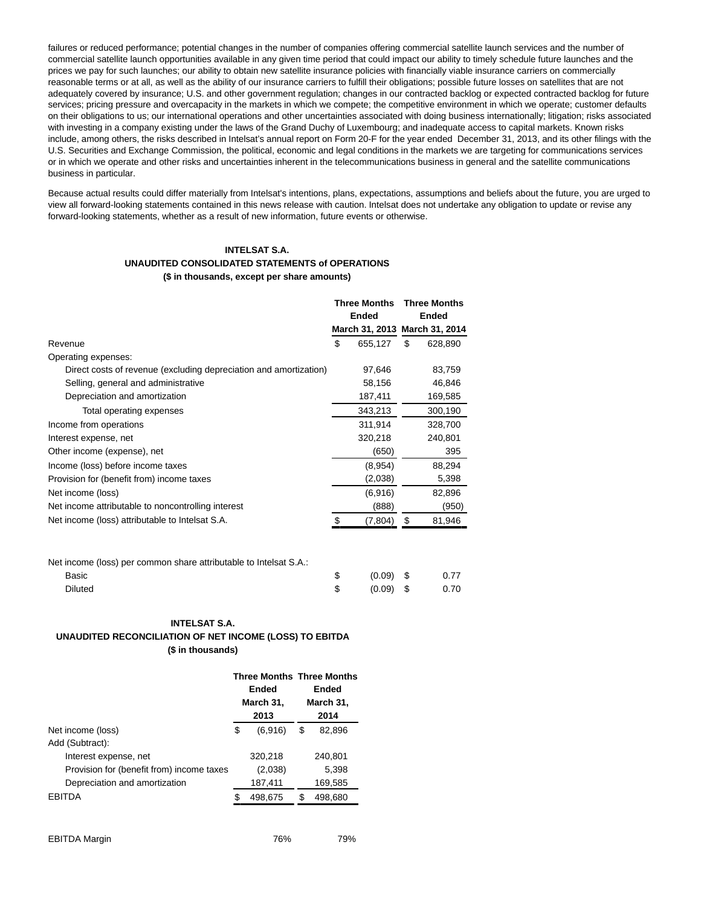failures or reduced performance; potential changes in the number of companies offering commercial satellite launch services and the number of commercial satellite launch opportunities available in any given time period that could impact our ability to timely schedule future launches and the prices we pay for such launches; our ability to obtain new satellite insurance policies with financially viable insurance carriers on commercially reasonable terms or at all, as well as the ability of our insurance carriers to fulfill their obligations; possible future losses on satellites that are not adequately covered by insurance; U.S. and other government regulation; changes in our contracted backlog or expected contracted backlog for future services; pricing pressure and overcapacity in the markets in which we compete; the competitive environment in which we operate; customer defaults on their obligations to us; our international operations and other uncertainties associated with doing business internationally; litigation; risks associated with investing in a company existing under the laws of the Grand Duchy of Luxembourg; and inadequate access to capital markets. Known risks include, among others, the risks described in Intelsat's annual report on Form 20-F for the year ended December 31, 2013, and its other filings with the U.S. Securities and Exchange Commission, the political, economic and legal conditions in the markets we are targeting for communications services or in which we operate and other risks and uncertainties inherent in the telecommunications business in general and the satellite communications business in particular.

Because actual results could differ materially from Intelsat's intentions, plans, expectations, assumptions and beliefs about the future, you are urged to view all forward-looking statements contained in this news release with caution. Intelsat does not undertake any obligation to update or revise any forward-looking statements, whether as a result of new information, future events or otherwise.

### **INTELSAT S.A. UNAUDITED CONSOLIDATED STATEMENTS of OPERATIONS (\$ in thousands, except per share amounts)**

|                                                                   | <b>Three Months</b><br>Ended | <b>Three Months</b><br>Ended<br>March 31, 2013 March 31, 2014 |
|-------------------------------------------------------------------|------------------------------|---------------------------------------------------------------|
| Revenue                                                           | \$<br>655,127                | \$<br>628,890                                                 |
| Operating expenses:                                               |                              |                                                               |
| Direct costs of revenue (excluding depreciation and amortization) | 97,646                       | 83,759                                                        |
| Selling, general and administrative                               | 58,156                       | 46,846                                                        |
| Depreciation and amortization                                     | 187,411                      | 169,585                                                       |
| Total operating expenses                                          | 343,213                      | 300,190                                                       |
| Income from operations                                            | 311,914                      | 328,700                                                       |
| Interest expense, net                                             | 320,218                      | 240,801                                                       |
| Other income (expense), net                                       | (650)                        | 395                                                           |
| Income (loss) before income taxes                                 | (8,954)                      | 88,294                                                        |
| Provision for (benefit from) income taxes                         | (2,038)                      | 5,398                                                         |
| Net income (loss)                                                 | (6.916)                      | 82,896                                                        |
| Net income attributable to noncontrolling interest                | (888)                        | (950)                                                         |
| Net income (loss) attributable to Intelsat S.A.                   | \$<br>(7,804)                | \$<br>81,946                                                  |

Net income (loss) per common share attributable to Intelsat S.A.:

| Basic   | $\text{\$} \qquad \text{(0.09)} \qquad \text{\$}$ | 0.77 |
|---------|---------------------------------------------------|------|
| Diluted | $\text{\$} \qquad \text{(0.09)} \qquad \text{\$}$ | 0.70 |

### **INTELSAT S.A. UNAUDITED RECONCILIATION OF NET INCOME (LOSS) TO EBITDA (\$ in thousands)**

|                                           | Ended<br>March 31,<br>2013 |   | <b>Three Months Three Months</b><br>Ended<br>March 31,<br>2014 |
|-------------------------------------------|----------------------------|---|----------------------------------------------------------------|
| Net income (loss)                         | \$<br>(6,916)              | S | 82.896                                                         |
| Add (Subtract):                           |                            |   |                                                                |
| Interest expense, net                     | 320,218                    |   | 240,801                                                        |
| Provision for (benefit from) income taxes | (2,038)                    |   | 5,398                                                          |
| Depreciation and amortization             | 187,411                    |   | 169,585                                                        |
| FBITDA                                    | 498,675                    |   | 498,680                                                        |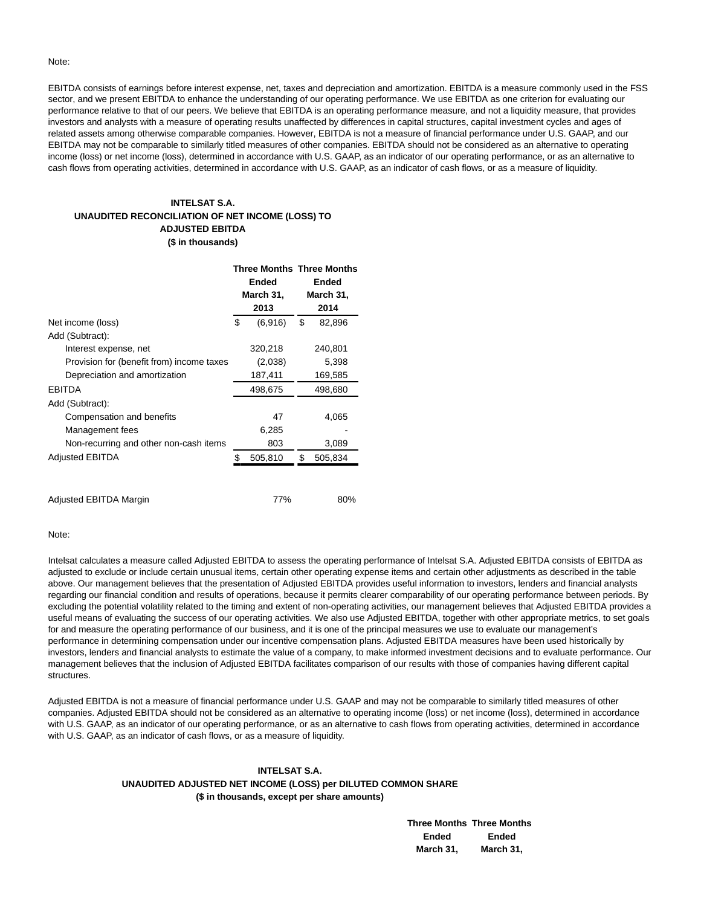Note:

EBITDA consists of earnings before interest expense, net, taxes and depreciation and amortization. EBITDA is a measure commonly used in the FSS sector, and we present EBITDA to enhance the understanding of our operating performance. We use EBITDA as one criterion for evaluating our performance relative to that of our peers. We believe that EBITDA is an operating performance measure, and not a liquidity measure, that provides investors and analysts with a measure of operating results unaffected by differences in capital structures, capital investment cycles and ages of related assets among otherwise comparable companies. However, EBITDA is not a measure of financial performance under U.S. GAAP, and our EBITDA may not be comparable to similarly titled measures of other companies. EBITDA should not be considered as an alternative to operating income (loss) or net income (loss), determined in accordance with U.S. GAAP, as an indicator of our operating performance, or as an alternative to cash flows from operating activities, determined in accordance with U.S. GAAP, as an indicator of cash flows, or as a measure of liquidity.

### **INTELSAT S.A. UNAUDITED RECONCILIATION OF NET INCOME (LOSS) TO ADJUSTED EBITDA (\$ in thousands)**

|                                           | <b>Three Months Three Months</b><br>Ended<br>March 31, |         |    | <b>Ended</b><br>March 31, |
|-------------------------------------------|--------------------------------------------------------|---------|----|---------------------------|
|                                           |                                                        | 2013    |    | 2014                      |
| Net income (loss)                         | \$                                                     | (6,916) | \$ | 82,896                    |
| Add (Subtract):                           |                                                        |         |    |                           |
| Interest expense, net                     |                                                        | 320,218 |    | 240,801                   |
| Provision for (benefit from) income taxes |                                                        | (2,038) |    | 5,398                     |
| Depreciation and amortization             |                                                        | 187,411 |    | 169,585                   |
| <b>EBITDA</b>                             |                                                        | 498,675 |    | 498,680                   |
| Add (Subtract):                           |                                                        |         |    |                           |
| Compensation and benefits                 |                                                        | 47      |    | 4,065                     |
| Management fees                           |                                                        | 6,285   |    |                           |
| Non-recurring and other non-cash items    |                                                        | 803     |    | 3,089                     |
| <b>Adjusted EBITDA</b>                    | \$                                                     | 505,810 | \$ | 505,834                   |
| Adjusted EBITDA Margin                    |                                                        | 77%     |    | 80%                       |

#### Note:

Intelsat calculates a measure called Adjusted EBITDA to assess the operating performance of Intelsat S.A. Adjusted EBITDA consists of EBITDA as adjusted to exclude or include certain unusual items, certain other operating expense items and certain other adjustments as described in the table above. Our management believes that the presentation of Adjusted EBITDA provides useful information to investors, lenders and financial analysts regarding our financial condition and results of operations, because it permits clearer comparability of our operating performance between periods. By excluding the potential volatility related to the timing and extent of non-operating activities, our management believes that Adjusted EBITDA provides a useful means of evaluating the success of our operating activities. We also use Adjusted EBITDA, together with other appropriate metrics, to set goals for and measure the operating performance of our business, and it is one of the principal measures we use to evaluate our management's performance in determining compensation under our incentive compensation plans. Adjusted EBITDA measures have been used historically by investors, lenders and financial analysts to estimate the value of a company, to make informed investment decisions and to evaluate performance. Our management believes that the inclusion of Adjusted EBITDA facilitates comparison of our results with those of companies having different capital structures.

Adjusted EBITDA is not a measure of financial performance under U.S. GAAP and may not be comparable to similarly titled measures of other companies. Adjusted EBITDA should not be considered as an alternative to operating income (loss) or net income (loss), determined in accordance with U.S. GAAP, as an indicator of our operating performance, or as an alternative to cash flows from operating activities, determined in accordance with U.S. GAAP, as an indicator of cash flows, or as a measure of liquidity.

### **INTELSAT S.A. UNAUDITED ADJUSTED NET INCOME (LOSS) per DILUTED COMMON SHARE (\$ in thousands, except per share amounts)**

**Three Months Three Months Ended Ended March 31, March 31,**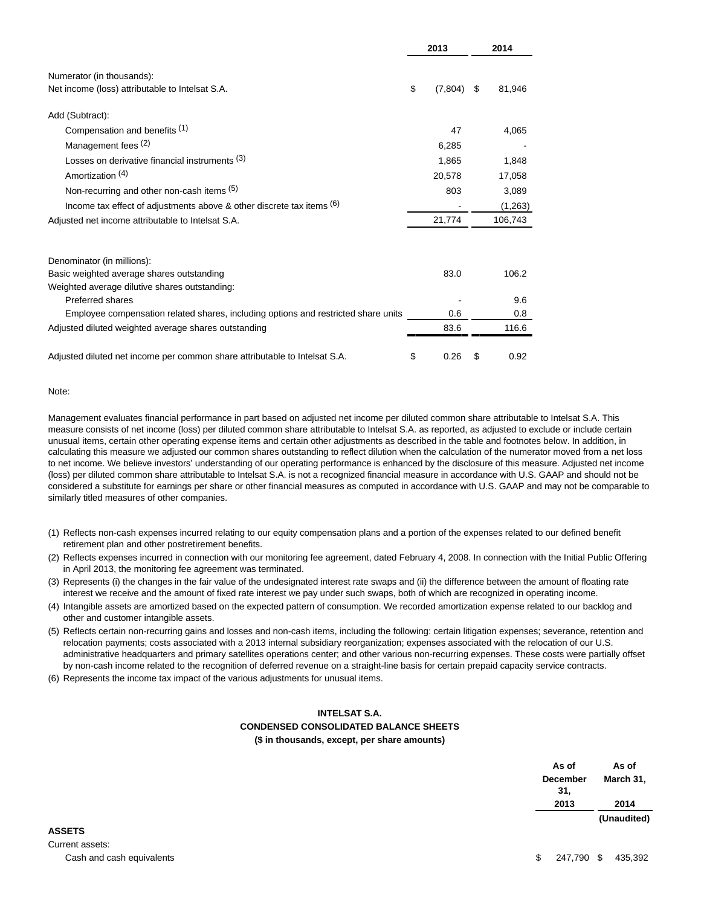|                                                                                            | 2013 |         | 2014 |          |
|--------------------------------------------------------------------------------------------|------|---------|------|----------|
| Numerator (in thousands):<br>Net income (loss) attributable to Intelsat S.A.               | \$   | (7,804) | \$   | 81,946   |
| Add (Subtract):                                                                            |      |         |      |          |
| Compensation and benefits (1)                                                              |      | 47      |      | 4,065    |
| Management fees (2)                                                                        |      | 6,285   |      |          |
| Losses on derivative financial instruments (3)                                             |      | 1,865   |      | 1,848    |
| Amortization <sup>(4)</sup>                                                                |      | 20,578  |      | 17,058   |
| Non-recurring and other non-cash items (5)                                                 |      | 803     |      | 3,089    |
| Income tax effect of adjustments above & other discrete tax items (6)                      |      |         |      | (1, 263) |
| Adjusted net income attributable to Intelsat S.A.                                          |      | 21,774  |      | 106,743  |
| Denominator (in millions):                                                                 |      |         |      |          |
| Basic weighted average shares outstanding<br>Weighted average dilutive shares outstanding: |      | 83.0    |      | 106.2    |
| Preferred shares                                                                           |      |         |      | 9.6      |
| Employee compensation related shares, including options and restricted share units         |      | 0.6     |      | 0.8      |
| Adjusted diluted weighted average shares outstanding                                       |      | 83.6    |      | 116.6    |
| Adjusted diluted net income per common share attributable to Intelsat S.A.                 | \$   | 0.26    | \$   | 0.92     |

Note:

Management evaluates financial performance in part based on adjusted net income per diluted common share attributable to Intelsat S.A. This measure consists of net income (loss) per diluted common share attributable to Intelsat S.A. as reported, as adjusted to exclude or include certain unusual items, certain other operating expense items and certain other adjustments as described in the table and footnotes below. In addition, in calculating this measure we adjusted our common shares outstanding to reflect dilution when the calculation of the numerator moved from a net loss to net income. We believe investors' understanding of our operating performance is enhanced by the disclosure of this measure. Adjusted net income (loss) per diluted common share attributable to Intelsat S.A. is not a recognized financial measure in accordance with U.S. GAAP and should not be considered a substitute for earnings per share or other financial measures as computed in accordance with U.S. GAAP and may not be comparable to similarly titled measures of other companies.

- (1) Reflects non-cash expenses incurred relating to our equity compensation plans and a portion of the expenses related to our defined benefit retirement plan and other postretirement benefits.
- (2) Reflects expenses incurred in connection with our monitoring fee agreement, dated February 4, 2008. In connection with the Initial Public Offering in April 2013, the monitoring fee agreement was terminated.
- (3) Represents (i) the changes in the fair value of the undesignated interest rate swaps and (ii) the difference between the amount of floating rate interest we receive and the amount of fixed rate interest we pay under such swaps, both of which are recognized in operating income.
- (4) Intangible assets are amortized based on the expected pattern of consumption. We recorded amortization expense related to our backlog and other and customer intangible assets.
- (5) Reflects certain non-recurring gains and losses and non-cash items, including the following: certain litigation expenses; severance, retention and relocation payments; costs associated with a 2013 internal subsidiary reorganization; expenses associated with the relocation of our U.S. administrative headquarters and primary satellites operations center; and other various non-recurring expenses. These costs were partially offset by non-cash income related to the recognition of deferred revenue on a straight-line basis for certain prepaid capacity service contracts.
- (6) Represents the income tax impact of the various adjustments for unusual items.

### **INTELSAT S.A. CONDENSED CONSOLIDATED BALANCE SHEETS (\$ in thousands, except, per share amounts)**

| As of    | As of       |
|----------|-------------|
| December | March 31,   |
| 31.      |             |
| 2013     | 2014        |
|          | (Unaudited) |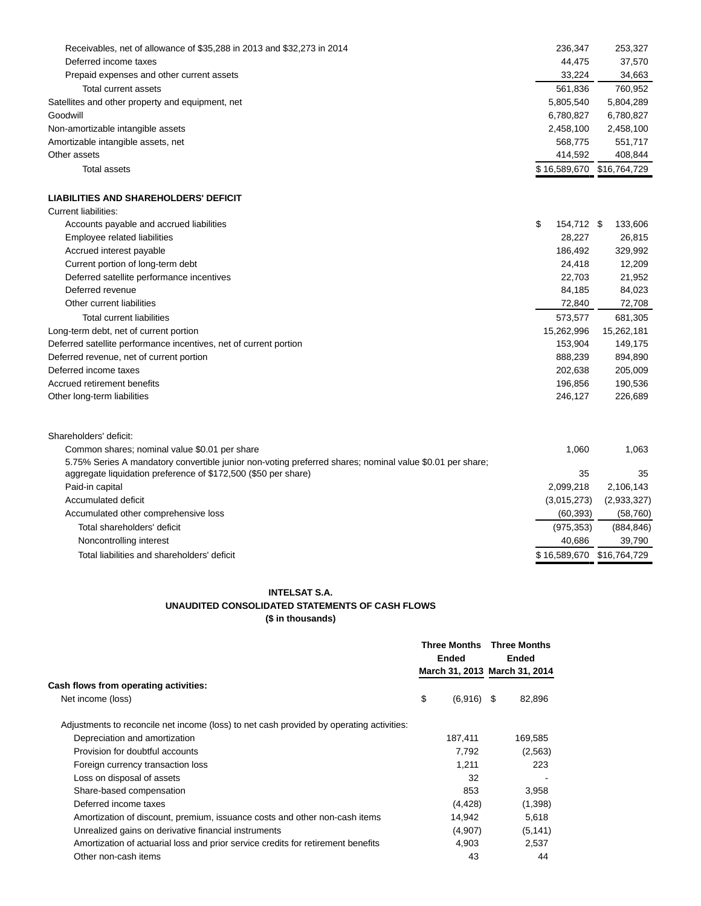| Receivables, net of allowance of \$35,288 in 2013 and \$32,273 in 2014                                   | 236,347                   | 253,327      |
|----------------------------------------------------------------------------------------------------------|---------------------------|--------------|
| Deferred income taxes                                                                                    | 44,475                    | 37,570       |
| Prepaid expenses and other current assets                                                                | 33,224                    | 34,663       |
| Total current assets                                                                                     | 561,836                   | 760,952      |
| Satellites and other property and equipment, net                                                         | 5,805,540                 | 5,804,289    |
| Goodwill                                                                                                 | 6,780,827                 | 6,780,827    |
| Non-amortizable intangible assets                                                                        | 2,458,100                 | 2,458,100    |
| Amortizable intangible assets, net                                                                       | 568,775                   | 551,717      |
| Other assets                                                                                             | 414,592                   | 408,844      |
| <b>Total assets</b>                                                                                      | \$ 16,589,670             | \$16,764,729 |
| <b>LIABILITIES AND SHAREHOLDERS' DEFICIT</b>                                                             |                           |              |
| Current liabilities:                                                                                     |                           |              |
| Accounts payable and accrued liabilities                                                                 | \$<br>154,712 \$          | 133,606      |
| Employee related liabilities                                                                             | 28,227                    | 26,815       |
| Accrued interest payable                                                                                 | 186,492                   | 329,992      |
| Current portion of long-term debt                                                                        | 24,418                    | 12,209       |
| Deferred satellite performance incentives                                                                | 22,703                    | 21,952       |
| Deferred revenue                                                                                         | 84,185                    | 84,023       |
| Other current liabilities                                                                                | 72,840                    | 72,708       |
| <b>Total current liabilities</b>                                                                         | 573,577                   | 681,305      |
| Long-term debt, net of current portion                                                                   | 15,262,996                | 15,262,181   |
| Deferred satellite performance incentives, net of current portion                                        | 153,904                   | 149,175      |
| Deferred revenue, net of current portion                                                                 | 888,239                   | 894,890      |
| Deferred income taxes                                                                                    | 202,638                   | 205,009      |
| Accrued retirement benefits                                                                              | 196,856                   | 190,536      |
| Other long-term liabilities                                                                              | 246,127                   | 226,689      |
| Shareholders' deficit:                                                                                   |                           |              |
| Common shares; nominal value \$0.01 per share                                                            | 1,060                     | 1,063        |
| 5.75% Series A mandatory convertible junior non-voting preferred shares; nominal value \$0.01 per share; |                           |              |
| aggregate liquidation preference of \$172,500 (\$50 per share)                                           | 35                        | 35           |
| Paid-in capital                                                                                          | 2,099,218                 | 2,106,143    |
| Accumulated deficit                                                                                      | (3,015,273)               | (2,933,327)  |
| Accumulated other comprehensive loss                                                                     | (60, 393)                 | (58, 760)    |
| Total shareholders' deficit                                                                              | (975, 353)                | (884, 846)   |
| Noncontrolling interest                                                                                  | 40,686                    | 39,790       |
| Total liabilities and shareholders' deficit                                                              | \$16,589,670 \$16,764,729 |              |
|                                                                                                          |                           |              |

## **INTELSAT S.A.**

## **UNAUDITED CONSOLIDATED STATEMENTS OF CASH FLOWS (\$ in thousands)**

|                                                                                          | Three Months Three Months<br>Ended |              | Ended |                               |
|------------------------------------------------------------------------------------------|------------------------------------|--------------|-------|-------------------------------|
|                                                                                          |                                    |              |       | March 31, 2013 March 31, 2014 |
| Cash flows from operating activities:                                                    |                                    |              |       |                               |
| Net income (loss)                                                                        | \$                                 | $(6,916)$ \$ |       | 82,896                        |
| Adjustments to reconcile net income (loss) to net cash provided by operating activities: |                                    |              |       |                               |
| Depreciation and amortization                                                            |                                    | 187,411      |       | 169,585                       |
| Provision for doubtful accounts                                                          |                                    | 7,792        |       | (2, 563)                      |
| Foreign currency transaction loss                                                        |                                    | 1,211        |       | 223                           |
| Loss on disposal of assets                                                               |                                    | 32           |       |                               |
| Share-based compensation                                                                 |                                    | 853          |       | 3,958                         |
| Deferred income taxes                                                                    |                                    | (4, 428)     |       | (1,398)                       |
| Amortization of discount, premium, issuance costs and other non-cash items               |                                    | 14,942       |       | 5,618                         |
| Unrealized gains on derivative financial instruments                                     |                                    | (4,907)      |       | (5, 141)                      |
| Amortization of actuarial loss and prior service credits for retirement benefits         |                                    | 4,903        |       | 2,537                         |
| Other non-cash items                                                                     |                                    | 43           |       | 44                            |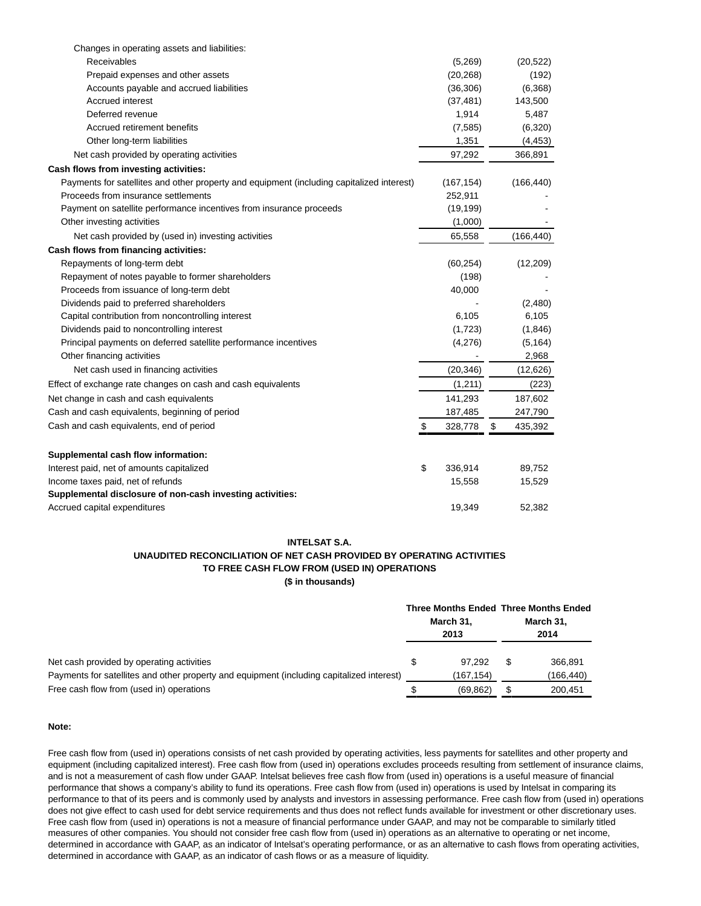| Changes in operating assets and liabilities:                                              |               |               |
|-------------------------------------------------------------------------------------------|---------------|---------------|
| Receivables                                                                               | (5,269)       | (20, 522)     |
| Prepaid expenses and other assets                                                         | (20, 268)     | (192)         |
| Accounts payable and accrued liabilities                                                  | (36, 306)     | (6,368)       |
| Accrued interest                                                                          | (37, 481)     | 143,500       |
| Deferred revenue                                                                          | 1,914         | 5,487         |
| Accrued retirement benefits                                                               | (7,585)       | (6,320)       |
| Other long-term liabilities                                                               | 1,351         | (4, 453)      |
| Net cash provided by operating activities                                                 | 97,292        | 366,891       |
| Cash flows from investing activities:                                                     |               |               |
| Payments for satellites and other property and equipment (including capitalized interest) | (167, 154)    | (166, 440)    |
| Proceeds from insurance settlements                                                       | 252,911       |               |
| Payment on satellite performance incentives from insurance proceeds                       | (19, 199)     |               |
| Other investing activities                                                                | (1,000)       |               |
| Net cash provided by (used in) investing activities                                       | 65,558        | (166, 440)    |
| Cash flows from financing activities:                                                     |               |               |
| Repayments of long-term debt                                                              | (60, 254)     | (12, 209)     |
| Repayment of notes payable to former shareholders                                         | (198)         |               |
| Proceeds from issuance of long-term debt                                                  | 40,000        |               |
| Dividends paid to preferred shareholders                                                  |               | (2,480)       |
| Capital contribution from noncontrolling interest                                         | 6,105         | 6,105         |
| Dividends paid to noncontrolling interest                                                 | (1, 723)      | (1,846)       |
| Principal payments on deferred satellite performance incentives                           | (4,276)       | (5, 164)      |
| Other financing activities                                                                |               | 2,968         |
| Net cash used in financing activities                                                     | (20, 346)     | (12, 626)     |
| Effect of exchange rate changes on cash and cash equivalents                              | (1,211)       | (223)         |
| Net change in cash and cash equivalents                                                   | 141,293       | 187,602       |
| Cash and cash equivalents, beginning of period                                            | 187,485       | 247,790       |
| Cash and cash equivalents, end of period                                                  | \$<br>328,778 | \$<br>435,392 |
| Supplemental cash flow information:                                                       |               |               |
| Interest paid, net of amounts capitalized                                                 | \$<br>336,914 | 89,752        |
| Income taxes paid, net of refunds                                                         | 15,558        | 15,529        |
| Supplemental disclosure of non-cash investing activities:                                 |               |               |
| Accrued capital expenditures                                                              | 19,349        | 52,382        |

### **INTELSAT S.A.**

# **UNAUDITED RECONCILIATION OF NET CASH PROVIDED BY OPERATING ACTIVITIES TO FREE CASH FLOW FROM (USED IN) OPERATIONS**

### **(\$ in thousands)**

|                                                                                           |                   | <b>Three Months Ended Three Months Ended</b> |
|-------------------------------------------------------------------------------------------|-------------------|----------------------------------------------|
|                                                                                           | March 31,<br>2013 | March 31,<br>2014                            |
| Net cash provided by operating activities                                                 | 97.292            | 366.891                                      |
| Payments for satellites and other property and equipment (including capitalized interest) | (167.154)         | (166,440)                                    |
| Free cash flow from (used in) operations                                                  | (69.862)          | 200.451                                      |

#### **Note:**

Free cash flow from (used in) operations consists of net cash provided by operating activities, less payments for satellites and other property and equipment (including capitalized interest). Free cash flow from (used in) operations excludes proceeds resulting from settlement of insurance claims, and is not a measurement of cash flow under GAAP. Intelsat believes free cash flow from (used in) operations is a useful measure of financial performance that shows a company's ability to fund its operations. Free cash flow from (used in) operations is used by Intelsat in comparing its performance to that of its peers and is commonly used by analysts and investors in assessing performance. Free cash flow from (used in) operations does not give effect to cash used for debt service requirements and thus does not reflect funds available for investment or other discretionary uses. Free cash flow from (used in) operations is not a measure of financial performance under GAAP, and may not be comparable to similarly titled measures of other companies. You should not consider free cash flow from (used in) operations as an alternative to operating or net income, determined in accordance with GAAP, as an indicator of Intelsat's operating performance, or as an alternative to cash flows from operating activities, determined in accordance with GAAP, as an indicator of cash flows or as a measure of liquidity.